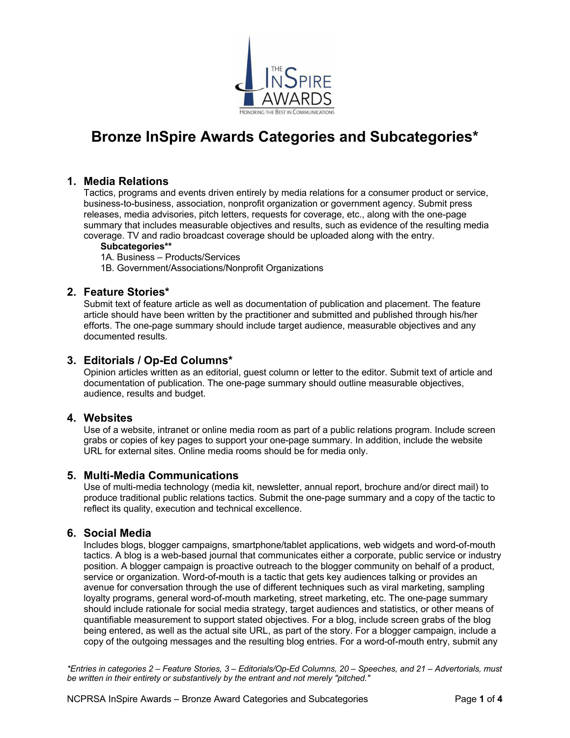

# **Bronze InSpire Awards Categories and Subcategories\***

## **1. Media Relations**

Tactics, programs and events driven entirely by media relations for a consumer product or service, business-to-business, association, nonprofit organization or government agency. Submit press releases, media advisories, pitch letters, requests for coverage, etc., along with the one-page summary that includes measurable objectives and results, such as evidence of the resulting media coverage. TV and radio broadcast coverage should be uploaded along with the entry.

#### **Subcategories\*\***

- 1A. Business Products/Services
- 1B. Government/Associations/Nonprofit Organizations

# **2. Feature Stories\***

Submit text of feature article as well as documentation of publication and placement. The feature article should have been written by the practitioner and submitted and published through his/her efforts. The one-page summary should include target audience, measurable objectives and any documented results.

# **3. Editorials / Op-Ed Columns\***

Opinion articles written as an editorial, guest column or letter to the editor. Submit text of article and documentation of publication. The one-page summary should outline measurable objectives, audience, results and budget.

#### **4. Websites**

Use of a website, intranet or online media room as part of a public relations program. Include screen grabs or copies of key pages to support your one-page summary. In addition, include the website URL for external sites. Online media rooms should be for media only.

#### **5. Multi-Media Communications**

Use of multi-media technology (media kit, newsletter, annual report, brochure and/or direct mail) to produce traditional public relations tactics. Submit the one-page summary and a copy of the tactic to reflect its quality, execution and technical excellence.

#### **6. Social Media**

Includes blogs, blogger campaigns, smartphone/tablet applications, web widgets and word-of-mouth tactics. A blog is a web-based journal that communicates either a corporate, public service or industry position. A blogger campaign is proactive outreach to the blogger community on behalf of a product, service or organization. Word-of-mouth is a tactic that gets key audiences talking or provides an avenue for conversation through the use of different techniques such as viral marketing, sampling loyalty programs, general word-of-mouth marketing, street marketing, etc. The one-page summary should include rationale for social media strategy, target audiences and statistics, or other means of quantifiable measurement to support stated objectives. For a blog, include screen grabs of the blog being entered, as well as the actual site URL, as part of the story. For a blogger campaign, include a copy of the outgoing messages and the resulting blog entries. For a word-of-mouth entry, submit any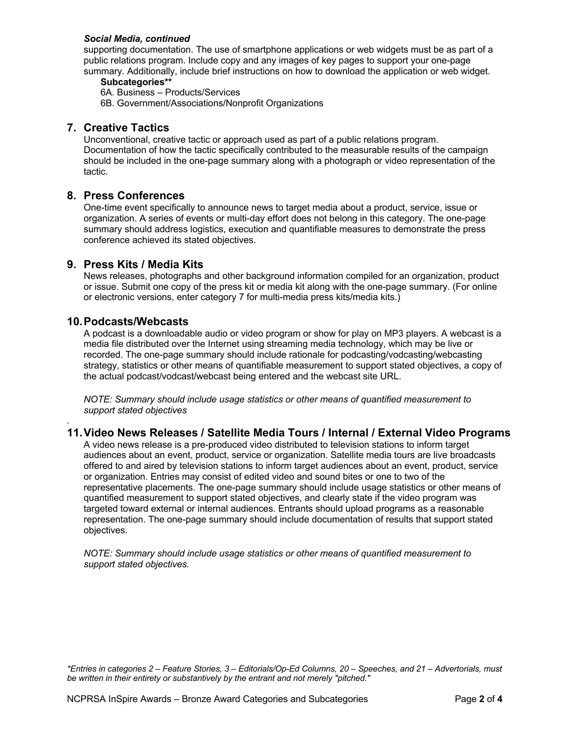#### *Social Media, continued*

supporting documentation. The use of smartphone applications or web widgets must be as part of a public relations program. Include copy and any images of key pages to support your one-page summary. Additionally, include brief instructions on how to download the application or web widget.

#### **Subcategories\*\***

6A. Business – Products/Services

6B. Government/Associations/Nonprofit Organizations

### **7. Creative Tactics**

Unconventional, creative tactic or approach used as part of a public relations program. Documentation of how the tactic specifically contributed to the measurable results of the campaign should be included in the one-page summary along with a photograph or video representation of the tactic.

## **8. Press Conferences**

One-time event specifically to announce news to target media about a product, service, issue or organization. A series of events or multi-day effort does not belong in this category. The one-page summary should address logistics, execution and quantifiable measures to demonstrate the press conference achieved its stated objectives.

#### **9. Press Kits / Media Kits**

News releases, photographs and other background information compiled for an organization, product or issue. Submit one copy of the press kit or media kit along with the one-page summary. (For online or electronic versions, enter category 7 for multi-media press kits/media kits.)

#### **10.Podcasts/Webcasts**

*.* 

A podcast is a downloadable audio or video program or show for play on MP3 players. A webcast is a media file distributed over the Internet using streaming media technology, which may be live or recorded. The one-page summary should include rationale for podcasting/vodcasting/webcasting strategy, statistics or other means of quantifiable measurement to support stated objectives, a copy of the actual podcast/vodcast/webcast being entered and the webcast site URL.

*NOTE: Summary should include usage statistics or other means of quantified measurement to support stated objectives*

# **11.Video News Releases / Satellite Media Tours / Internal / External Video Programs**

A video news release is a pre-produced video distributed to television stations to inform target audiences about an event, product, service or organization. Satellite media tours are live broadcasts offered to and aired by television stations to inform target audiences about an event, product, service or organization. Entries may consist of edited video and sound bites or one to two of the representative placements. The one-page summary should include usage statistics or other means of quantified measurement to support stated objectives, and clearly state if the video program was targeted toward external or internal audiences. Entrants should upload programs as a reasonable representation. The one-page summary should include documentation of results that support stated objectives.

*NOTE: Summary should include usage statistics or other means of quantified measurement to support stated objectives.*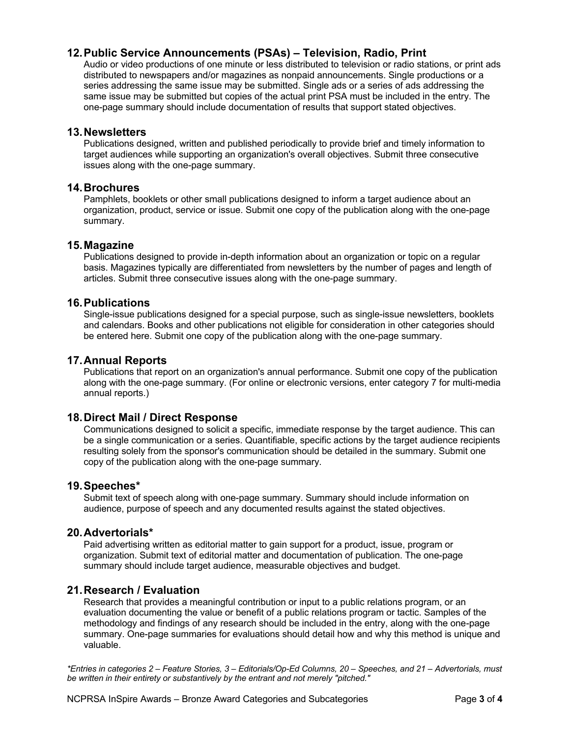# **12.Public Service Announcements (PSAs) – Television, Radio, Print**

Audio or video productions of one minute or less distributed to television or radio stations, or print ads distributed to newspapers and/or magazines as nonpaid announcements. Single productions or a series addressing the same issue may be submitted. Single ads or a series of ads addressing the same issue may be submitted but copies of the actual print PSA must be included in the entry. The one-page summary should include documentation of results that support stated objectives.

### **13.Newsletters**

Publications designed, written and published periodically to provide brief and timely information to target audiences while supporting an organization's overall objectives. Submit three consecutive issues along with the one-page summary.

#### **14.Brochures**

Pamphlets, booklets or other small publications designed to inform a target audience about an organization, product, service or issue. Submit one copy of the publication along with the one-page summary.

#### **15.Magazine**

Publications designed to provide in-depth information about an organization or topic on a regular basis. Magazines typically are differentiated from newsletters by the number of pages and length of articles. Submit three consecutive issues along with the one-page summary.

#### **16.Publications**

Single-issue publications designed for a special purpose, such as single-issue newsletters, booklets and calendars. Books and other publications not eligible for consideration in other categories should be entered here. Submit one copy of the publication along with the one-page summary.

## **17.Annual Reports**

Publications that report on an organization's annual performance. Submit one copy of the publication along with the one-page summary. (For online or electronic versions, enter category 7 for multi-media annual reports.)

# **18.Direct Mail / Direct Response**

Communications designed to solicit a specific, immediate response by the target audience. This can be a single communication or a series. Quantifiable, specific actions by the target audience recipients resulting solely from the sponsor's communication should be detailed in the summary. Submit one copy of the publication along with the one-page summary.

#### **19.Speeches\***

Submit text of speech along with one-page summary. Summary should include information on audience, purpose of speech and any documented results against the stated objectives.

#### **20.Advertorials\***

Paid advertising written as editorial matter to gain support for a product, issue, program or organization. Submit text of editorial matter and documentation of publication. The one-page summary should include target audience, measurable objectives and budget.

#### **21.Research / Evaluation**

Research that provides a meaningful contribution or input to a public relations program, or an evaluation documenting the value or benefit of a public relations program or tactic. Samples of the methodology and findings of any research should be included in the entry, along with the one-page summary. One-page summaries for evaluations should detail how and why this method is unique and valuable.